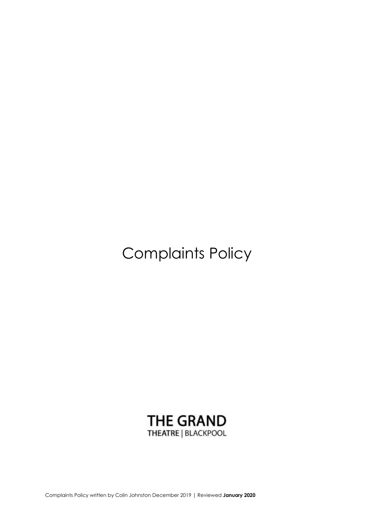Complaints Policy



Complaints Policy written by Colin Johnston December 2019 | Reviewed **January 2020**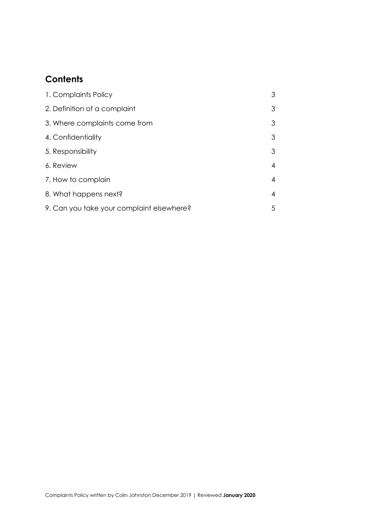# **Contents**

| 1. Complaints Policy                      | 3 |
|-------------------------------------------|---|
| 2. Definition of a complaint              | 3 |
| 3. Where complaints come from             | 3 |
| 4. Confidentiality                        | 3 |
| 5. Responsibility                         | 3 |
| 6. Review                                 | 4 |
| 7. How to complain                        | 4 |
| 8. What happens next?                     | 4 |
| 9. Can you take your complaint elsewhere? | 5 |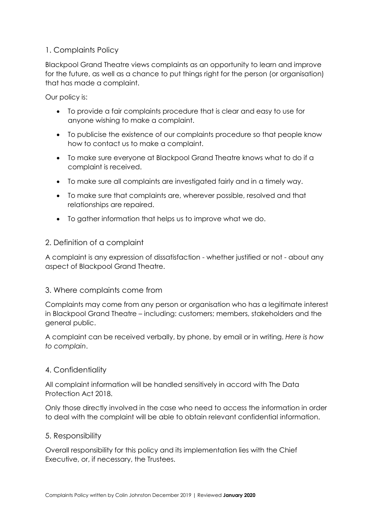# 1. Complaints Policy

Blackpool Grand Theatre views complaints as an opportunity to learn and improve for the future, as well as a chance to put things right for the person (or organisation) that has made a complaint.

Our policy is:

- To provide a fair complaints procedure that is clear and easy to use for anyone wishing to make a complaint.
- To publicise the existence of our complaints procedure so that people know how to contact us to make a complaint.
- To make sure everyone at Blackpool Grand Theatre knows what to do if a complaint is received.
- To make sure all complaints are investigated fairly and in a timely way.
- To make sure that complaints are, wherever possible, resolved and that relationships are repaired.
- To gather information that helps us to improve what we do.

## 2. Definition of a complaint

A complaint is any expression of dissatisfaction - whether justified or not - about any aspect of Blackpool Grand Theatre.

### 3. Where complaints come from

Complaints may come from any person or organisation who has a legitimate interest in Blackpool Grand Theatre – including: customers; members, stakeholders and the general public.

A complaint can be received verbally, by phone, by email or in writing. *Here is how to complain*.

# 4. Confidentiality

All complaint information will be handled sensitively in accord with The Data Protection Act 2018.

Only those directly involved in the case who need to access the information in order to deal with the complaint will be able to obtain relevant confidential information.

# 5. Responsibility

Overall responsibility for this policy and its implementation lies with the Chief Executive, or, if necessary, the Trustees.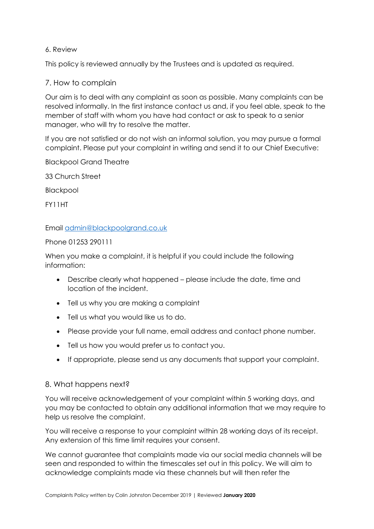### 6. Review

This policy is reviewed annually by the Trustees and is updated as required.

## 7. How to complain

Our aim is to deal with any complaint as soon as possible. Many complaints can be resolved informally. In the first instance contact us and, if you feel able, speak to the member of staff with whom you have had contact or ask to speak to a senior manager, who will try to resolve the matter.

If you are not satisfied or do not wish an informal solution, you may pursue a formal complaint. Please put your complaint in writing and send it to our Chief Executive:

Blackpool Grand Theatre

33 Church Street

**Blackpool** 

FY11HT

Email [admin@blackpoolgrand.co.uk](mailto:admin@blackpoolgrand.co.uk)

#### Phone 01253 290111

When you make a complaint, it is helpful if you could include the following information:

- Describe clearly what happened please include the date, time and location of the incident.
- Tell us why you are making a complaint
- Tell us what you would like us to do.
- Please provide your full name, email address and contact phone number.
- Tell us how you would prefer us to contact you.
- If appropriate, please send us any documents that support your complaint.

### 8. What happens next?

You will receive acknowledgement of your complaint within 5 working days, and you may be contacted to obtain any additional information that we may require to help us resolve the complaint.

You will receive a response to your complaint within 28 working days of its receipt. Any extension of this time limit requires your consent.

We cannot guarantee that complaints made via our social media channels will be seen and responded to within the timescales set out in this policy. We will aim to acknowledge complaints made via these channels but will then refer the